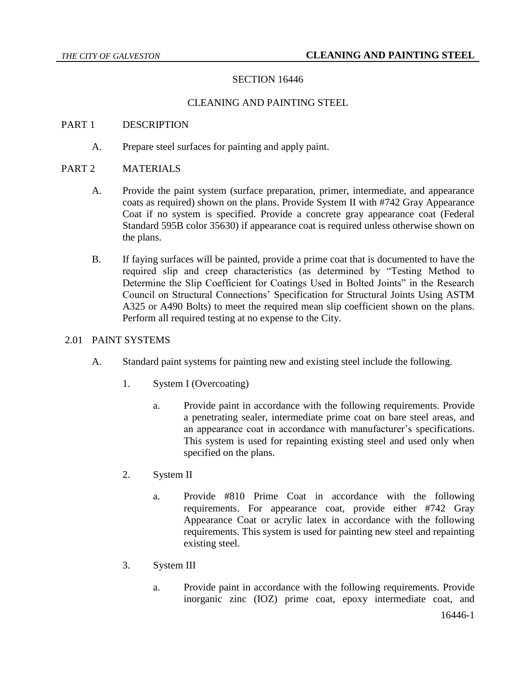# SECTION 16446

## CLEANING AND PAINTING STEEL

### PART 1 DESCRIPTION

A. Prepare steel surfaces for painting and apply paint.

## PART 2 MATERIALS

- A. Provide the paint system (surface preparation, primer, intermediate, and appearance coats as required) shown on the plans. Provide System II with #742 Gray Appearance Coat if no system is specified. Provide a concrete gray appearance coat (Federal Standard 595B color 35630) if appearance coat is required unless otherwise shown on the plans.
- B. If faying surfaces will be painted, provide a prime coat that is documented to have the required slip and creep characteristics (as determined by "Testing Method to Determine the Slip Coefficient for Coatings Used in Bolted Joints" in the Research Council on Structural Connections' Specification for Structural Joints Using ASTM A325 or A490 Bolts) to meet the required mean slip coefficient shown on the plans. Perform all required testing at no expense to the City.

### 2.01 PAINT SYSTEMS

- A. Standard paint systems for painting new and existing steel include the following.
	- 1. System I (Overcoating)
		- a. Provide paint in accordance with the following requirements. Provide a penetrating sealer, intermediate prime coat on bare steel areas, and an appearance coat in accordance with manufacturer's specifications. This system is used for repainting existing steel and used only when specified on the plans.
	- 2. System II
		- a. Provide #810 Prime Coat in accordance with the following requirements. For appearance coat, provide either #742 Gray Appearance Coat or acrylic latex in accordance with the following requirements. This system is used for painting new steel and repainting existing steel.
	- 3. System III
		- a. Provide paint in accordance with the following requirements. Provide inorganic zinc (IOZ) prime coat, epoxy intermediate coat, and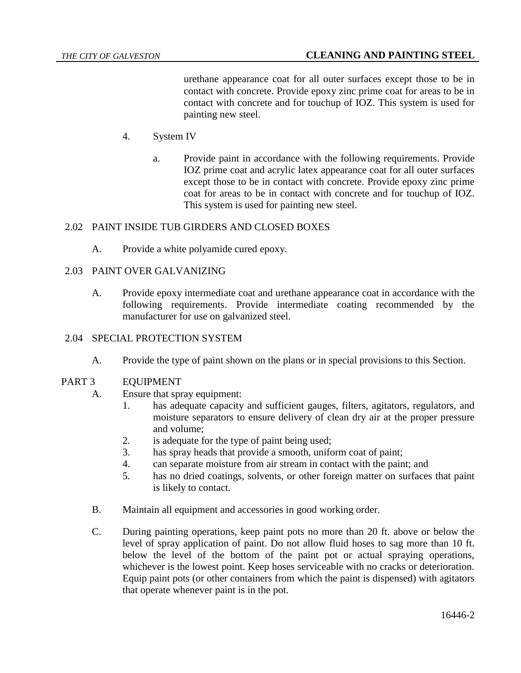urethane appearance coat for all outer surfaces except those to be in contact with concrete. Provide epoxy zinc prime coat for areas to be in contact with concrete and for touchup of IOZ. This system is used for painting new steel.

- 4. System IV
	- a. Provide paint in accordance with the following requirements. Provide IOZ prime coat and acrylic latex appearance coat for all outer surfaces except those to be in contact with concrete. Provide epoxy zinc prime coat for areas to be in contact with concrete and for touchup of IOZ. This system is used for painting new steel.

## 2.02 PAINT INSIDE TUB GIRDERS AND CLOSED BOXES

A. Provide a white polyamide cured epoxy.

## 2.03 PAINT OVER GALVANIZING

A. Provide epoxy intermediate coat and urethane appearance coat in accordance with the following requirements. Provide intermediate coating recommended by the manufacturer for use on galvanized steel.

### 2.04 SPECIAL PROTECTION SYSTEM

A. Provide the type of paint shown on the plans or in special provisions to this Section.

### PART 3 EQUIPMENT

- A. Ensure that spray equipment:
	- 1. has adequate capacity and sufficient gauges, filters, agitators, regulators, and moisture separators to ensure delivery of clean dry air at the proper pressure and volume;
	- 2. is adequate for the type of paint being used;
	- 3. has spray heads that provide a smooth, uniform coat of paint;
	- 4. can separate moisture from air stream in contact with the paint; and
	- 5. has no dried coatings, solvents, or other foreign matter on surfaces that paint is likely to contact.
- B. Maintain all equipment and accessories in good working order.
- C. During painting operations, keep paint pots no more than 20 ft. above or below the level of spray application of paint. Do not allow fluid hoses to sag more than 10 ft. below the level of the bottom of the paint pot or actual spraying operations, whichever is the lowest point. Keep hoses serviceable with no cracks or deterioration. Equip paint pots (or other containers from which the paint is dispensed) with agitators that operate whenever paint is in the pot.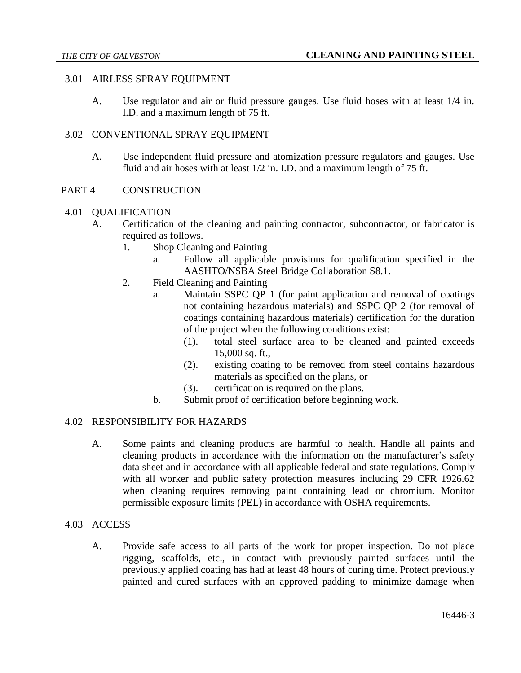### 3.01 AIRLESS SPRAY EQUIPMENT

A. Use regulator and air or fluid pressure gauges. Use fluid hoses with at least 1/4 in. I.D. and a maximum length of 75 ft.

### 3.02 CONVENTIONAL SPRAY EQUIPMENT

A. Use independent fluid pressure and atomization pressure regulators and gauges. Use fluid and air hoses with at least 1/2 in. I.D. and a maximum length of 75 ft.

#### PART 4 CONSTRUCTION

#### 4.01 QUALIFICATION

- A. Certification of the cleaning and painting contractor, subcontractor, or fabricator is required as follows.
	- 1. Shop Cleaning and Painting
		- a. Follow all applicable provisions for qualification specified in the AASHTO/NSBA Steel Bridge Collaboration S8.1.
	- 2. Field Cleaning and Painting
		- a. Maintain SSPC QP 1 (for paint application and removal of coatings not containing hazardous materials) and SSPC QP 2 (for removal of coatings containing hazardous materials) certification for the duration of the project when the following conditions exist:
			- (1). total steel surface area to be cleaned and painted exceeds 15,000 sq. ft.,
			- (2). existing coating to be removed from steel contains hazardous materials as specified on the plans, or
			- (3). certification is required on the plans.
		- b. Submit proof of certification before beginning work.

### 4.02 RESPONSIBILITY FOR HAZARDS

A. Some paints and cleaning products are harmful to health. Handle all paints and cleaning products in accordance with the information on the manufacturer's safety data sheet and in accordance with all applicable federal and state regulations. Comply with all worker and public safety protection measures including 29 CFR 1926.62 when cleaning requires removing paint containing lead or chromium. Monitor permissible exposure limits (PEL) in accordance with OSHA requirements.

### 4.03 ACCESS

A. Provide safe access to all parts of the work for proper inspection. Do not place rigging, scaffolds, etc., in contact with previously painted surfaces until the previously applied coating has had at least 48 hours of curing time. Protect previously painted and cured surfaces with an approved padding to minimize damage when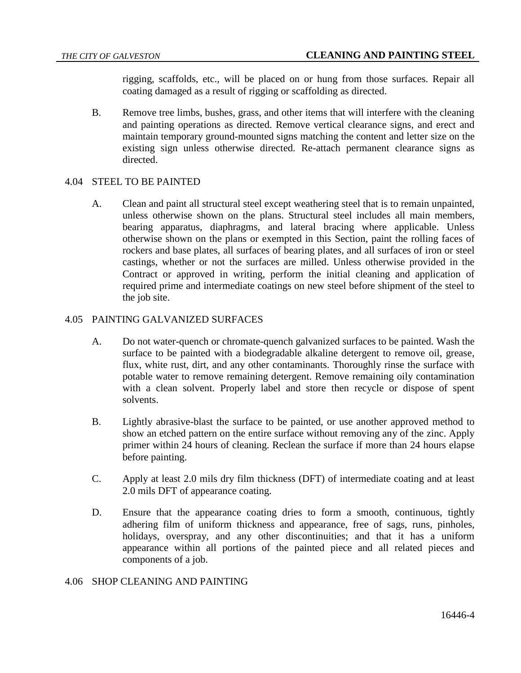rigging, scaffolds, etc., will be placed on or hung from those surfaces. Repair all coating damaged as a result of rigging or scaffolding as directed.

B. Remove tree limbs, bushes, grass, and other items that will interfere with the cleaning and painting operations as directed. Remove vertical clearance signs, and erect and maintain temporary ground-mounted signs matching the content and letter size on the existing sign unless otherwise directed. Re-attach permanent clearance signs as directed.

### 4.04 STEEL TO BE PAINTED

A. Clean and paint all structural steel except weathering steel that is to remain unpainted, unless otherwise shown on the plans. Structural steel includes all main members, bearing apparatus, diaphragms, and lateral bracing where applicable. Unless otherwise shown on the plans or exempted in this Section, paint the rolling faces of rockers and base plates, all surfaces of bearing plates, and all surfaces of iron or steel castings, whether or not the surfaces are milled. Unless otherwise provided in the Contract or approved in writing, perform the initial cleaning and application of required prime and intermediate coatings on new steel before shipment of the steel to the job site.

#### 4.05 PAINTING GALVANIZED SURFACES

- A. Do not water-quench or chromate-quench galvanized surfaces to be painted. Wash the surface to be painted with a biodegradable alkaline detergent to remove oil, grease, flux, white rust, dirt, and any other contaminants. Thoroughly rinse the surface with potable water to remove remaining detergent. Remove remaining oily contamination with a clean solvent. Properly label and store then recycle or dispose of spent solvents.
- B. Lightly abrasive-blast the surface to be painted, or use another approved method to show an etched pattern on the entire surface without removing any of the zinc. Apply primer within 24 hours of cleaning. Reclean the surface if more than 24 hours elapse before painting.
- C. Apply at least 2.0 mils dry film thickness (DFT) of intermediate coating and at least 2.0 mils DFT of appearance coating.
- D. Ensure that the appearance coating dries to form a smooth, continuous, tightly adhering film of uniform thickness and appearance, free of sags, runs, pinholes, holidays, overspray, and any other discontinuities; and that it has a uniform appearance within all portions of the painted piece and all related pieces and components of a job.

### 4.06 SHOP CLEANING AND PAINTING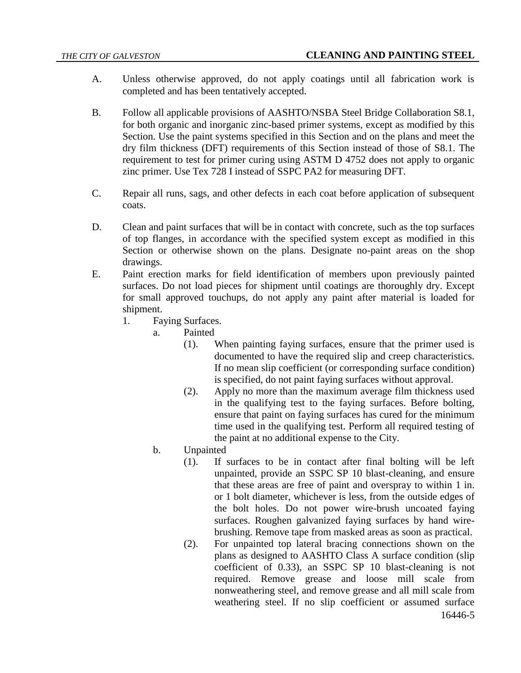- A. Unless otherwise approved, do not apply coatings until all fabrication work is completed and has been tentatively accepted.
- B. Follow all applicable provisions of AASHTO/NSBA Steel Bridge Collaboration S8.1, for both organic and inorganic zinc-based primer systems, except as modified by this Section. Use the paint systems specified in this Section and on the plans and meet the dry film thickness (DFT) requirements of this Section instead of those of S8.1. The requirement to test for primer curing using ASTM D 4752 does not apply to organic zinc primer. Use Tex 728 I instead of SSPC PA2 for measuring DFT.
- C. Repair all runs, sags, and other defects in each coat before application of subsequent coats.
- D. Clean and paint surfaces that will be in contact with concrete, such as the top surfaces of top flanges, in accordance with the specified system except as modified in this Section or otherwise shown on the plans. Designate no-paint areas on the shop drawings.
- E. Paint erection marks for field identification of members upon previously painted surfaces. Do not load pieces for shipment until coatings are thoroughly dry. Except for small approved touchups, do not apply any paint after material is loaded for shipment.
	- 1. Faying Surfaces.
		- a. Painted
			- (1). When painting faying surfaces, ensure that the primer used is documented to have the required slip and creep characteristics. If no mean slip coefficient (or corresponding surface condition) is specified, do not paint faying surfaces without approval.
			- (2). Apply no more than the maximum average film thickness used in the qualifying test to the faying surfaces. Before bolting, ensure that paint on faying surfaces has cured for the minimum time used in the qualifying test. Perform all required testing of the paint at no additional expense to the City.
		- b. Unpainted
			- (1). If surfaces to be in contact after final bolting will be left unpainted, provide an SSPC SP 10 blast-cleaning, and ensure that these areas are free of paint and overspray to within 1 in. or 1 bolt diameter, whichever is less, from the outside edges of the bolt holes. Do not power wire-brush uncoated faying surfaces. Roughen galvanized faying surfaces by hand wirebrushing. Remove tape from masked areas as soon as practical.
			- 16446-5 (2). For unpainted top lateral bracing connections shown on the plans as designed to AASHTO Class A surface condition (slip coefficient of 0.33), an SSPC SP 10 blast-cleaning is not required. Remove grease and loose mill scale from nonweathering steel, and remove grease and all mill scale from weathering steel. If no slip coefficient or assumed surface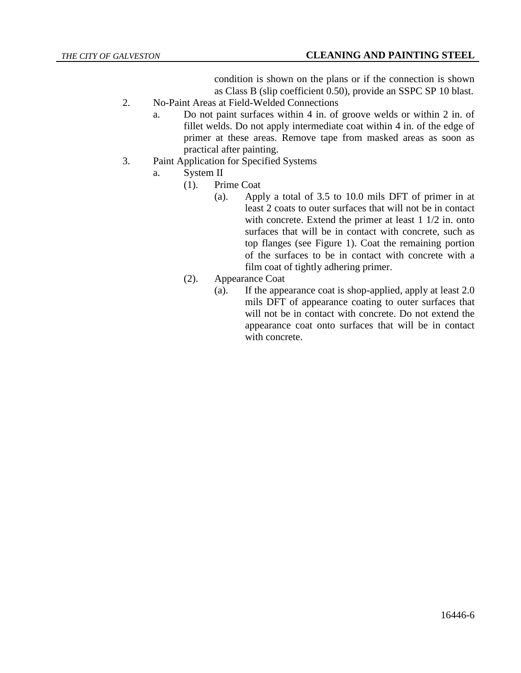condition is shown on the plans or if the connection is shown as Class B (slip coefficient 0.50), provide an SSPC SP 10 blast.

- 2. No-Paint Areas at Field-Welded Connections
	- a. Do not paint surfaces within 4 in. of groove welds or within 2 in. of fillet welds. Do not apply intermediate coat within 4 in. of the edge of primer at these areas. Remove tape from masked areas as soon as practical after painting.
- 3. Paint Application for Specified Systems
	- a. System II
		- (1). Prime Coat
			- (a). Apply a total of 3.5 to 10.0 mils DFT of primer in at least 2 coats to outer surfaces that will not be in contact with concrete. Extend the primer at least 1 1/2 in. onto surfaces that will be in contact with concrete, such as top flanges (see Figure 1). Coat the remaining portion of the surfaces to be in contact with concrete with a film coat of tightly adhering primer.
		- (2). Appearance Coat
			- (a). If the appearance coat is shop-applied, apply at least 2.0 mils DFT of appearance coating to outer surfaces that will not be in contact with concrete. Do not extend the appearance coat onto surfaces that will be in contact with concrete.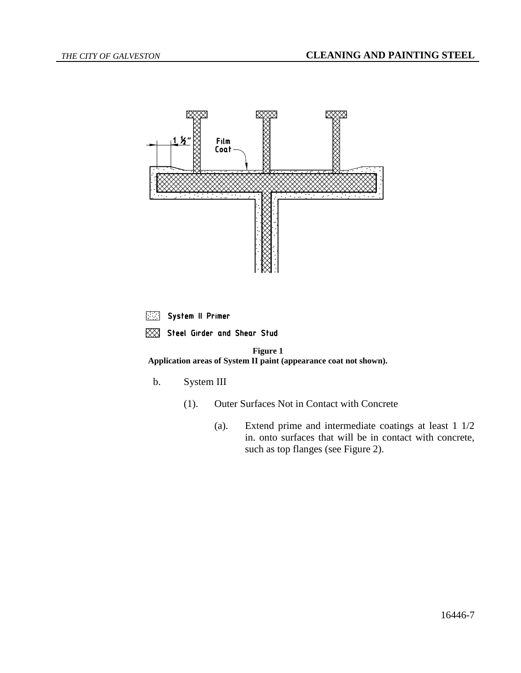

System II Primer

XX Steel Girder and Shear Stud

**Figure 1 Application areas of System II paint (appearance coat not shown).**

b. System III

- (1). Outer Surfaces Not in Contact with Concrete
	- (a). Extend prime and intermediate coatings at least 1 1/2 in. onto surfaces that will be in contact with concrete, such as top flanges (see Figure 2).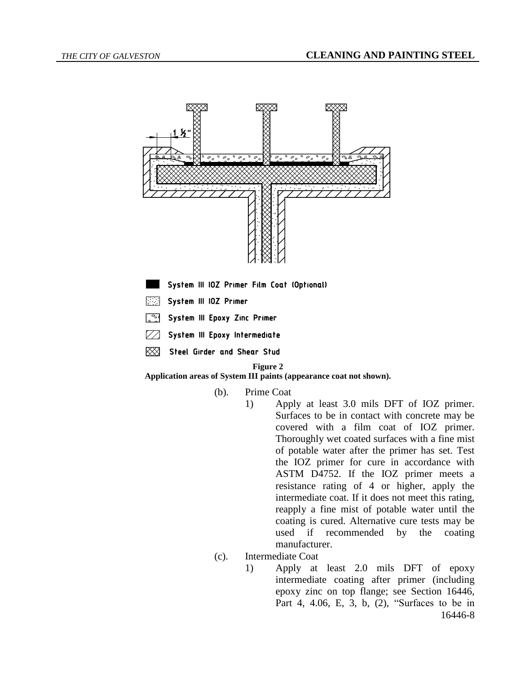

System III 10Z Primer Film Coat (Optional)

- System III IOZ Primer 医中国
- System III Epoxy Zinc Primer िल
- System III Epoxy Intermediate  $\nabla\! \varDelta$
- 贸 Steel Girder and Shear Stud

#### **Figure 2**

**Application areas of System III paints (appearance coat not shown).**

- (b). Prime Coat
	- 1) Apply at least 3.0 mils DFT of IOZ primer. Surfaces to be in contact with concrete may be covered with a film coat of IOZ primer. Thoroughly wet coated surfaces with a fine mist of potable water after the primer has set. Test the IOZ primer for cure in accordance with ASTM D4752. If the IOZ primer meets a resistance rating of 4 or higher, apply the intermediate coat. If it does not meet this rating, reapply a fine mist of potable water until the coating is cured. Alternative cure tests may be used if recommended by the coating manufacturer.
- (c). Intermediate Coat
	- 16446-8 1) Apply at least 2.0 mils DFT of epoxy intermediate coating after primer (including epoxy zinc on top flange; see Section 16446, Part 4, 4.06, E, 3, b, (2), "Surfaces to be in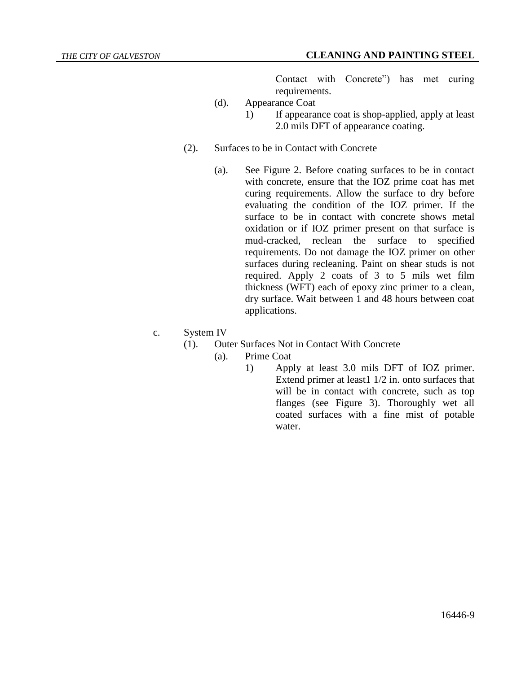Contact with Concrete") has met curing requirements.

- (d). Appearance Coat
	- 1) If appearance coat is shop-applied, apply at least 2.0 mils DFT of appearance coating.
- (2). Surfaces to be in Contact with Concrete
	- (a). See Figure 2. Before coating surfaces to be in contact with concrete, ensure that the IOZ prime coat has met curing requirements. Allow the surface to dry before evaluating the condition of the IOZ primer. If the surface to be in contact with concrete shows metal oxidation or if IOZ primer present on that surface is mud-cracked, reclean the surface to specified requirements. Do not damage the IOZ primer on other surfaces during recleaning. Paint on shear studs is not required. Apply 2 coats of 3 to 5 mils wet film thickness (WFT) each of epoxy zinc primer to a clean, dry surface. Wait between 1 and 48 hours between coat applications.
- c. System IV
	- (1). Outer Surfaces Not in Contact With Concrete
		- (a). Prime Coat
			- 1) Apply at least 3.0 mils DFT of IOZ primer. Extend primer at least1 1/2 in. onto surfaces that will be in contact with concrete, such as top flanges (see Figure 3). Thoroughly wet all coated surfaces with a fine mist of potable water.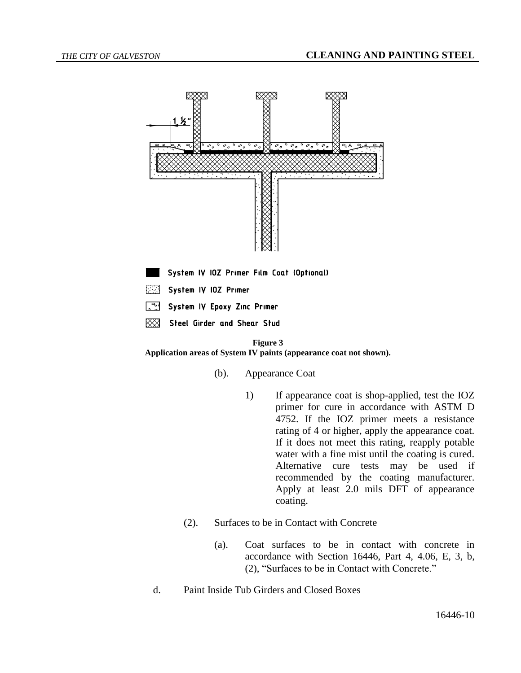

System IV IOZ Primer Film Coat (Optional)

- System IV IOZ Primer
- System IV Epoxy Zinc Primer
- Steel Girder and Shear Stud ⋙

#### **Figure 3**

**Application areas of System IV paints (appearance coat not shown).**

- (b). Appearance Coat
	- 1) If appearance coat is shop-applied, test the IOZ primer for cure in accordance with ASTM D 4752. If the IOZ primer meets a resistance rating of 4 or higher, apply the appearance coat. If it does not meet this rating, reapply potable water with a fine mist until the coating is cured. Alternative cure tests may be used if recommended by the coating manufacturer. Apply at least 2.0 mils DFT of appearance coating.
- (2). Surfaces to be in Contact with Concrete
	- (a). Coat surfaces to be in contact with concrete in accordance with Section 16446, Part 4, 4.06, E, 3, b, (2), "Surfaces to be in Contact with Concrete."
- d. Paint Inside Tub Girders and Closed Boxes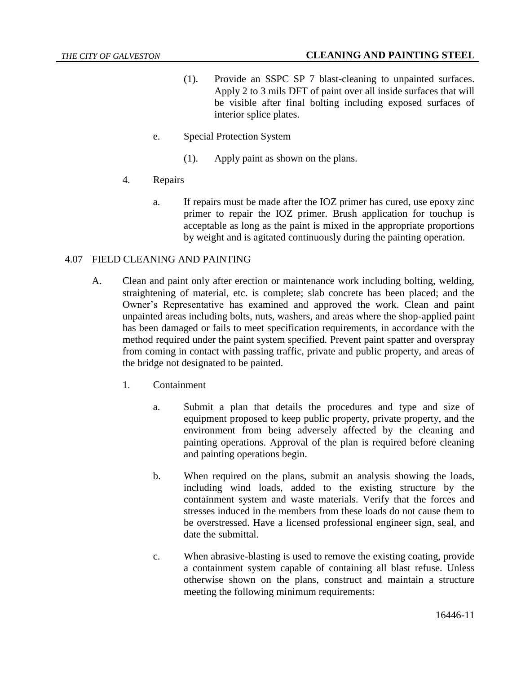- (1). Provide an SSPC SP 7 blast-cleaning to unpainted surfaces. Apply 2 to 3 mils DFT of paint over all inside surfaces that will be visible after final bolting including exposed surfaces of interior splice plates.
- e. Special Protection System
	- (1). Apply paint as shown on the plans.
- 4. Repairs
	- a. If repairs must be made after the IOZ primer has cured, use epoxy zinc primer to repair the IOZ primer. Brush application for touchup is acceptable as long as the paint is mixed in the appropriate proportions by weight and is agitated continuously during the painting operation.

## 4.07 FIELD CLEANING AND PAINTING

- A. Clean and paint only after erection or maintenance work including bolting, welding, straightening of material, etc. is complete; slab concrete has been placed; and the Owner's Representative has examined and approved the work. Clean and paint unpainted areas including bolts, nuts, washers, and areas where the shop-applied paint has been damaged or fails to meet specification requirements, in accordance with the method required under the paint system specified. Prevent paint spatter and overspray from coming in contact with passing traffic, private and public property, and areas of the bridge not designated to be painted.
	- 1. Containment
		- a. Submit a plan that details the procedures and type and size of equipment proposed to keep public property, private property, and the environment from being adversely affected by the cleaning and painting operations. Approval of the plan is required before cleaning and painting operations begin.
		- b. When required on the plans, submit an analysis showing the loads, including wind loads, added to the existing structure by the containment system and waste materials. Verify that the forces and stresses induced in the members from these loads do not cause them to be overstressed. Have a licensed professional engineer sign, seal, and date the submittal.
		- c. When abrasive-blasting is used to remove the existing coating, provide a containment system capable of containing all blast refuse. Unless otherwise shown on the plans, construct and maintain a structure meeting the following minimum requirements: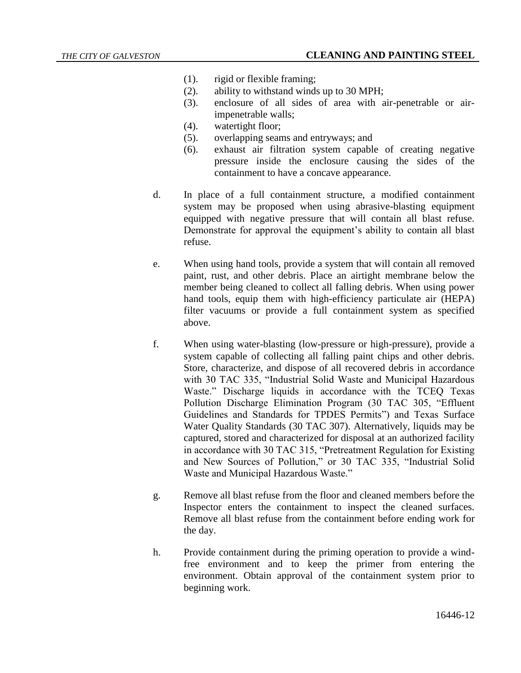- (1). rigid or flexible framing;
- (2). ability to withstand winds up to 30 MPH;
- (3). enclosure of all sides of area with air-penetrable or airimpenetrable walls;
- (4). watertight floor;
- (5). overlapping seams and entryways; and
- (6). exhaust air filtration system capable of creating negative pressure inside the enclosure causing the sides of the containment to have a concave appearance.
- d. In place of a full containment structure, a modified containment system may be proposed when using abrasive-blasting equipment equipped with negative pressure that will contain all blast refuse. Demonstrate for approval the equipment's ability to contain all blast refuse.
- e. When using hand tools, provide a system that will contain all removed paint, rust, and other debris. Place an airtight membrane below the member being cleaned to collect all falling debris. When using power hand tools, equip them with high-efficiency particulate air (HEPA) filter vacuums or provide a full containment system as specified above.
- f. When using water-blasting (low-pressure or high-pressure), provide a system capable of collecting all falling paint chips and other debris. Store, characterize, and dispose of all recovered debris in accordance with 30 TAC 335, "Industrial Solid Waste and Municipal Hazardous Waste." Discharge liquids in accordance with the TCEQ Texas Pollution Discharge Elimination Program (30 TAC 305, "Effluent Guidelines and Standards for TPDES Permits") and Texas Surface Water Quality Standards (30 TAC 307). Alternatively, liquids may be captured, stored and characterized for disposal at an authorized facility in accordance with 30 TAC 315, "Pretreatment Regulation for Existing and New Sources of Pollution," or 30 TAC 335, "Industrial Solid Waste and Municipal Hazardous Waste."
- g. Remove all blast refuse from the floor and cleaned members before the Inspector enters the containment to inspect the cleaned surfaces. Remove all blast refuse from the containment before ending work for the day.
- h. Provide containment during the priming operation to provide a windfree environment and to keep the primer from entering the environment. Obtain approval of the containment system prior to beginning work.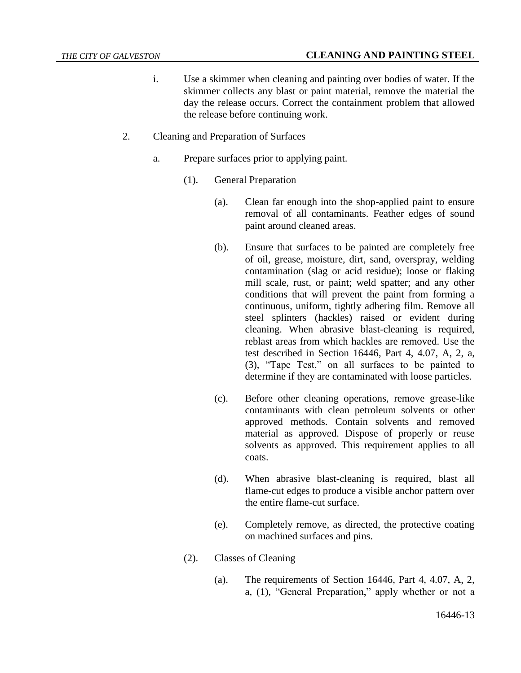- i. Use a skimmer when cleaning and painting over bodies of water. If the skimmer collects any blast or paint material, remove the material the day the release occurs. Correct the containment problem that allowed the release before continuing work.
- 2. Cleaning and Preparation of Surfaces
	- a. Prepare surfaces prior to applying paint.
		- (1). General Preparation
			- (a). Clean far enough into the shop-applied paint to ensure removal of all contaminants. Feather edges of sound paint around cleaned areas.
			- (b). Ensure that surfaces to be painted are completely free of oil, grease, moisture, dirt, sand, overspray, welding contamination (slag or acid residue); loose or flaking mill scale, rust, or paint; weld spatter; and any other conditions that will prevent the paint from forming a continuous, uniform, tightly adhering film. Remove all steel splinters (hackles) raised or evident during cleaning. When abrasive blast-cleaning is required, reblast areas from which hackles are removed. Use the test described in Section 16446, Part 4, 4.07, A, 2, a, (3), "Tape Test," on all surfaces to be painted to determine if they are contaminated with loose particles.
			- (c). Before other cleaning operations, remove grease-like contaminants with clean petroleum solvents or other approved methods. Contain solvents and removed material as approved. Dispose of properly or reuse solvents as approved. This requirement applies to all coats.
			- (d). When abrasive blast-cleaning is required, blast all flame-cut edges to produce a visible anchor pattern over the entire flame-cut surface.
			- (e). Completely remove, as directed, the protective coating on machined surfaces and pins.
		- (2). Classes of Cleaning
			- (a). The requirements of Section 16446, Part 4, 4.07, A, 2, a, (1), "General Preparation," apply whether or not a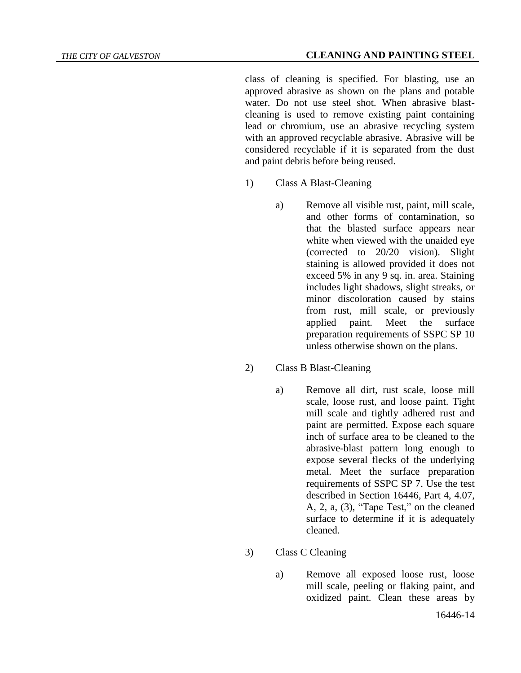#### *THE CITY OF GALVESTON* **CLEANING AND PAINTING STEEL**

class of cleaning is specified. For blasting, use an approved abrasive as shown on the plans and potable water. Do not use steel shot. When abrasive blastcleaning is used to remove existing paint containing lead or chromium, use an abrasive recycling system with an approved recyclable abrasive. Abrasive will be considered recyclable if it is separated from the dust and paint debris before being reused.

- 1) Class A Blast-Cleaning
	- a) Remove all visible rust, paint, mill scale, and other forms of contamination, so that the blasted surface appears near white when viewed with the unaided eye (corrected to 20/20 vision). Slight staining is allowed provided it does not exceed 5% in any 9 sq. in. area. Staining includes light shadows, slight streaks, or minor discoloration caused by stains from rust, mill scale, or previously applied paint. Meet the surface preparation requirements of SSPC SP 10 unless otherwise shown on the plans.
- 2) Class B Blast-Cleaning
	- a) Remove all dirt, rust scale, loose mill scale, loose rust, and loose paint. Tight mill scale and tightly adhered rust and paint are permitted. Expose each square inch of surface area to be cleaned to the abrasive-blast pattern long enough to expose several flecks of the underlying metal. Meet the surface preparation requirements of SSPC SP 7. Use the test described in Section 16446, Part 4, 4.07, A, 2, a, (3), "Tape Test," on the cleaned surface to determine if it is adequately cleaned.
- 3) Class C Cleaning
	- a) Remove all exposed loose rust, loose mill scale, peeling or flaking paint, and oxidized paint. Clean these areas by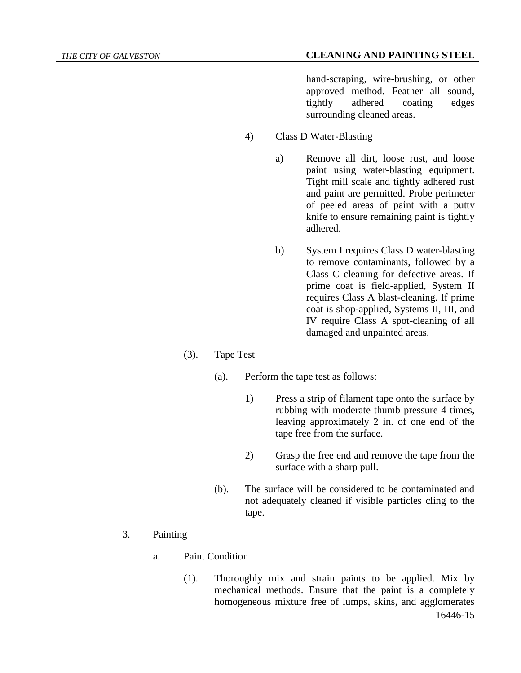hand-scraping, wire-brushing, or other approved method. Feather all sound, tightly adhered coating edges surrounding cleaned areas.

- 4) Class D Water-Blasting
	- a) Remove all dirt, loose rust, and loose paint using water-blasting equipment. Tight mill scale and tightly adhered rust and paint are permitted. Probe perimeter of peeled areas of paint with a putty knife to ensure remaining paint is tightly adhered.
	- b) System I requires Class D water-blasting to remove contaminants, followed by a Class C cleaning for defective areas. If prime coat is field-applied, System II requires Class A blast-cleaning. If prime coat is shop-applied, Systems II, III, and IV require Class A spot-cleaning of all damaged and unpainted areas.
- (3). Tape Test
	- (a). Perform the tape test as follows:
		- 1) Press a strip of filament tape onto the surface by rubbing with moderate thumb pressure 4 times, leaving approximately 2 in. of one end of the tape free from the surface.
		- 2) Grasp the free end and remove the tape from the surface with a sharp pull.
	- (b). The surface will be considered to be contaminated and not adequately cleaned if visible particles cling to the tape.
- 3. Painting
	- a. Paint Condition
		- 16446-15 (1). Thoroughly mix and strain paints to be applied. Mix by mechanical methods. Ensure that the paint is a completely homogeneous mixture free of lumps, skins, and agglomerates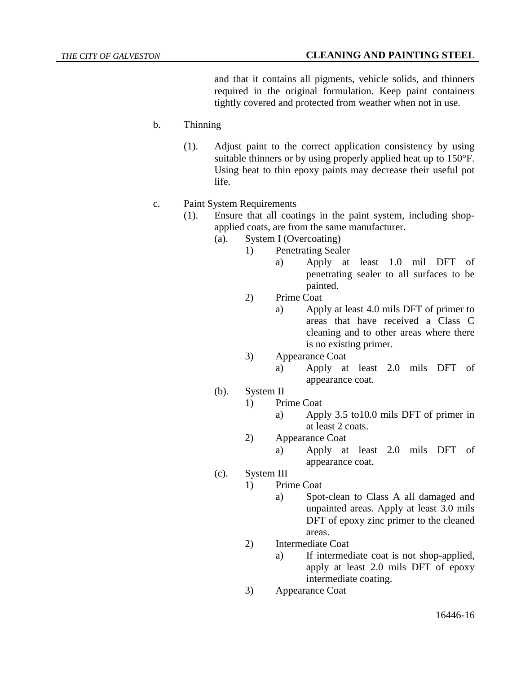and that it contains all pigments, vehicle solids, and thinners required in the original formulation. Keep paint containers tightly covered and protected from weather when not in use.

# b. Thinning

- (1). Adjust paint to the correct application consistency by using suitable thinners or by using properly applied heat up to 150°F. Using heat to thin epoxy paints may decrease their useful pot life.
- c. Paint System Requirements
	- (1). Ensure that all coatings in the paint system, including shopapplied coats, are from the same manufacturer.
		- (a). System I (Overcoating)
			- 1) Penetrating Sealer
				- a) Apply at least 1.0 mil DFT of penetrating sealer to all surfaces to be painted.
			- 2) Prime Coat
				- a) Apply at least 4.0 mils DFT of primer to areas that have received a Class C cleaning and to other areas where there is no existing primer.
			- 3) Appearance Coat
				- a) Apply at least 2.0 mils DFT of appearance coat.
		- (b). System II
			- 1) Prime Coat
				- a) Apply 3.5 to10.0 mils DFT of primer in at least 2 coats.
			- 2) Appearance Coat
				- a) Apply at least 2.0 mils DFT of appearance coat.
		- (c). System III
			- 1) Prime Coat
				- a) Spot-clean to Class A all damaged and unpainted areas. Apply at least 3.0 mils DFT of epoxy zinc primer to the cleaned areas.
			- 2) Intermediate Coat
				- a) If intermediate coat is not shop-applied, apply at least 2.0 mils DFT of epoxy intermediate coating.
			- 3) Appearance Coat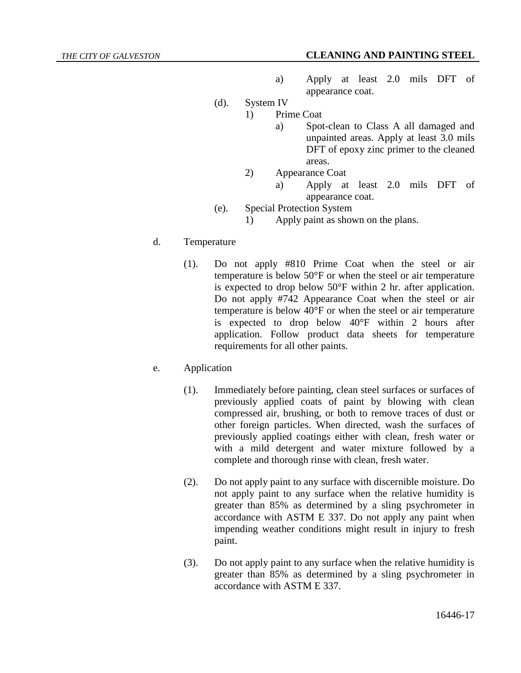- a) Apply at least 2.0 mils DFT of appearance coat.
- (d). System IV
	- 1) Prime Coat
		- a) Spot-clean to Class A all damaged and unpainted areas. Apply at least 3.0 mils DFT of epoxy zinc primer to the cleaned areas.
		- 2) Appearance Coat
			- a) Apply at least 2.0 mils DFT of appearance coat.
- (e). Special Protection System
	- 1) Apply paint as shown on the plans.
- d. Temperature
	- (1). Do not apply #810 Prime Coat when the steel or air temperature is below 50°F or when the steel or air temperature is expected to drop below 50°F within 2 hr. after application. Do not apply #742 Appearance Coat when the steel or air temperature is below 40°F or when the steel or air temperature is expected to drop below 40°F within 2 hours after application. Follow product data sheets for temperature requirements for all other paints.
- e. Application
	- (1). Immediately before painting, clean steel surfaces or surfaces of previously applied coats of paint by blowing with clean compressed air, brushing, or both to remove traces of dust or other foreign particles. When directed, wash the surfaces of previously applied coatings either with clean, fresh water or with a mild detergent and water mixture followed by a complete and thorough rinse with clean, fresh water.
	- (2). Do not apply paint to any surface with discernible moisture. Do not apply paint to any surface when the relative humidity is greater than 85% as determined by a sling psychrometer in accordance with ASTM E 337. Do not apply any paint when impending weather conditions might result in injury to fresh paint.
	- (3). Do not apply paint to any surface when the relative humidity is greater than 85% as determined by a sling psychrometer in accordance with ASTM E 337.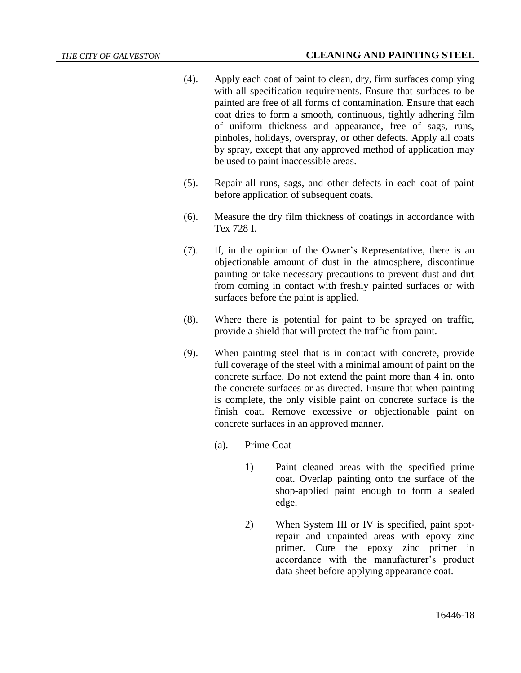- (4). Apply each coat of paint to clean, dry, firm surfaces complying with all specification requirements. Ensure that surfaces to be painted are free of all forms of contamination. Ensure that each coat dries to form a smooth, continuous, tightly adhering film of uniform thickness and appearance, free of sags, runs, pinholes, holidays, overspray, or other defects. Apply all coats by spray, except that any approved method of application may be used to paint inaccessible areas.
- (5). Repair all runs, sags, and other defects in each coat of paint before application of subsequent coats.
- (6). Measure the dry film thickness of coatings in accordance with Tex 728 I.
- (7). If, in the opinion of the Owner's Representative, there is an objectionable amount of dust in the atmosphere, discontinue painting or take necessary precautions to prevent dust and dirt from coming in contact with freshly painted surfaces or with surfaces before the paint is applied.
- (8). Where there is potential for paint to be sprayed on traffic, provide a shield that will protect the traffic from paint.
- (9). When painting steel that is in contact with concrete, provide full coverage of the steel with a minimal amount of paint on the concrete surface. Do not extend the paint more than 4 in. onto the concrete surfaces or as directed. Ensure that when painting is complete, the only visible paint on concrete surface is the finish coat. Remove excessive or objectionable paint on concrete surfaces in an approved manner.
	- (a). Prime Coat
		- 1) Paint cleaned areas with the specified prime coat. Overlap painting onto the surface of the shop-applied paint enough to form a sealed edge.
		- 2) When System III or IV is specified, paint spotrepair and unpainted areas with epoxy zinc primer. Cure the epoxy zinc primer in accordance with the manufacturer's product data sheet before applying appearance coat.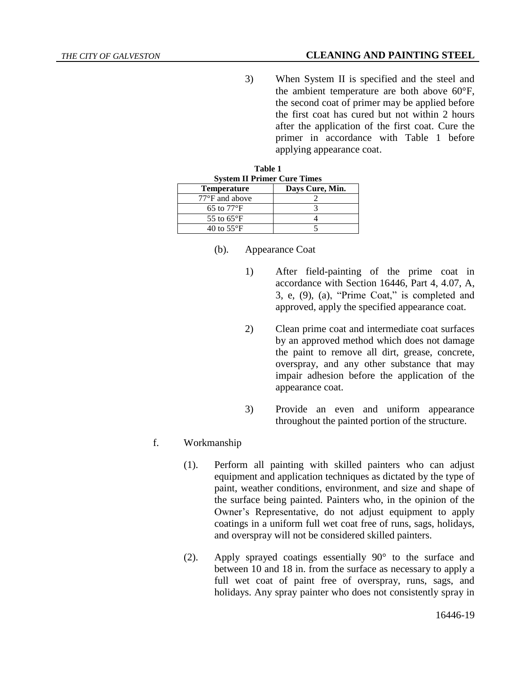## *THE CITY OF GALVESTON* **CLEANING AND PAINTING STEEL**

3) When System II is specified and the steel and the ambient temperature are both above 60°F, the second coat of primer may be applied before the first coat has cured but not within 2 hours after the application of the first coat. Cure the primer in accordance with Table 1 before applying appearance coat.

| Table 1<br><b>System II Primer Cure Times</b> |                 |
|-----------------------------------------------|-----------------|
| <b>Temperature</b>                            | Days Cure, Min. |
| $77^{\circ}$ F and above                      |                 |
| 65 to $77^{\circ}$ F                          |                 |
| 55 to $65^{\circ}$ F                          |                 |
| 40 to $55^{\circ}$ F                          |                 |

- (b). Appearance Coat
	- 1) After field-painting of the prime coat in accordance with Section 16446, Part 4, 4.07, A, 3, e, (9), (a), "Prime Coat," is completed and approved, apply the specified appearance coat.
	- 2) Clean prime coat and intermediate coat surfaces by an approved method which does not damage the paint to remove all dirt, grease, concrete, overspray, and any other substance that may impair adhesion before the application of the appearance coat.
	- 3) Provide an even and uniform appearance throughout the painted portion of the structure.
- f. Workmanship
	- (1). Perform all painting with skilled painters who can adjust equipment and application techniques as dictated by the type of paint, weather conditions, environment, and size and shape of the surface being painted. Painters who, in the opinion of the Owner's Representative, do not adjust equipment to apply coatings in a uniform full wet coat free of runs, sags, holidays, and overspray will not be considered skilled painters.
	- (2). Apply sprayed coatings essentially 90° to the surface and between 10 and 18 in. from the surface as necessary to apply a full wet coat of paint free of overspray, runs, sags, and holidays. Any spray painter who does not consistently spray in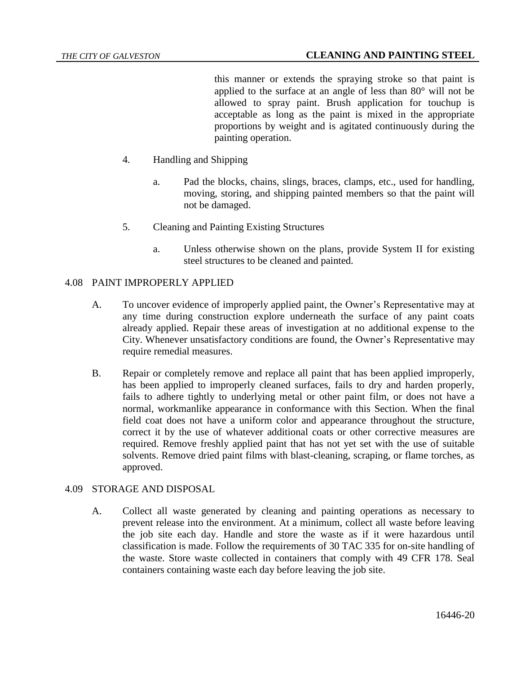this manner or extends the spraying stroke so that paint is applied to the surface at an angle of less than 80° will not be allowed to spray paint. Brush application for touchup is acceptable as long as the paint is mixed in the appropriate proportions by weight and is agitated continuously during the painting operation.

- 4. Handling and Shipping
	- a. Pad the blocks, chains, slings, braces, clamps, etc., used for handling, moving, storing, and shipping painted members so that the paint will not be damaged.
- 5. Cleaning and Painting Existing Structures
	- a. Unless otherwise shown on the plans, provide System II for existing steel structures to be cleaned and painted.

## 4.08 PAINT IMPROPERLY APPLIED

- A. To uncover evidence of improperly applied paint, the Owner's Representative may at any time during construction explore underneath the surface of any paint coats already applied. Repair these areas of investigation at no additional expense to the City. Whenever unsatisfactory conditions are found, the Owner's Representative may require remedial measures.
- B. Repair or completely remove and replace all paint that has been applied improperly, has been applied to improperly cleaned surfaces, fails to dry and harden properly, fails to adhere tightly to underlying metal or other paint film, or does not have a normal, workmanlike appearance in conformance with this Section. When the final field coat does not have a uniform color and appearance throughout the structure, correct it by the use of whatever additional coats or other corrective measures are required. Remove freshly applied paint that has not yet set with the use of suitable solvents. Remove dried paint films with blast-cleaning, scraping, or flame torches, as approved.

### 4.09 STORAGE AND DISPOSAL

A. Collect all waste generated by cleaning and painting operations as necessary to prevent release into the environment. At a minimum, collect all waste before leaving the job site each day. Handle and store the waste as if it were hazardous until classification is made. Follow the requirements of 30 TAC 335 for on-site handling of the waste. Store waste collected in containers that comply with 49 CFR 178. Seal containers containing waste each day before leaving the job site.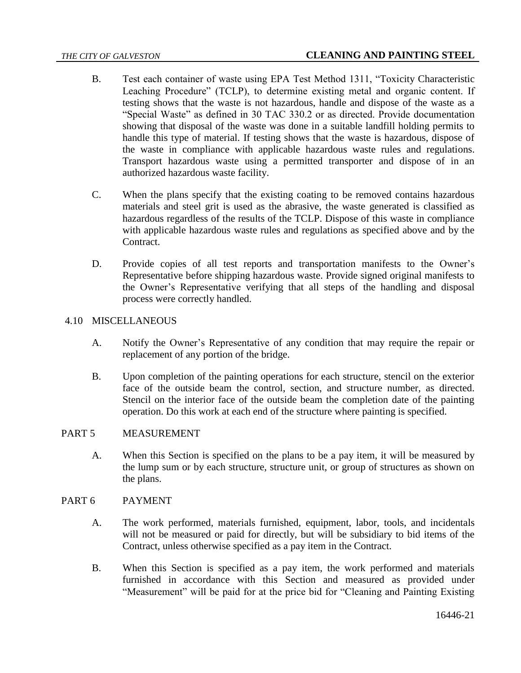- B. Test each container of waste using EPA Test Method 1311, "Toxicity Characteristic Leaching Procedure" (TCLP), to determine existing metal and organic content. If testing shows that the waste is not hazardous, handle and dispose of the waste as a "Special Waste" as defined in 30 TAC 330.2 or as directed. Provide documentation showing that disposal of the waste was done in a suitable landfill holding permits to handle this type of material. If testing shows that the waste is hazardous, dispose of the waste in compliance with applicable hazardous waste rules and regulations. Transport hazardous waste using a permitted transporter and dispose of in an authorized hazardous waste facility.
- C. When the plans specify that the existing coating to be removed contains hazardous materials and steel grit is used as the abrasive, the waste generated is classified as hazardous regardless of the results of the TCLP. Dispose of this waste in compliance with applicable hazardous waste rules and regulations as specified above and by the Contract.
- D. Provide copies of all test reports and transportation manifests to the Owner's Representative before shipping hazardous waste. Provide signed original manifests to the Owner's Representative verifying that all steps of the handling and disposal process were correctly handled.

## 4.10 MISCELLANEOUS

- A. Notify the Owner's Representative of any condition that may require the repair or replacement of any portion of the bridge.
- B. Upon completion of the painting operations for each structure, stencil on the exterior face of the outside beam the control, section, and structure number, as directed. Stencil on the interior face of the outside beam the completion date of the painting operation. Do this work at each end of the structure where painting is specified.

### PART 5 MEASUREMENT

A. When this Section is specified on the plans to be a pay item, it will be measured by the lump sum or by each structure, structure unit, or group of structures as shown on the plans.

## PART 6 PAYMENT

- A. The work performed, materials furnished, equipment, labor, tools, and incidentals will not be measured or paid for directly, but will be subsidiary to bid items of the Contract, unless otherwise specified as a pay item in the Contract.
- B. When this Section is specified as a pay item, the work performed and materials furnished in accordance with this Section and measured as provided under "Measurement" will be paid for at the price bid for "Cleaning and Painting Existing